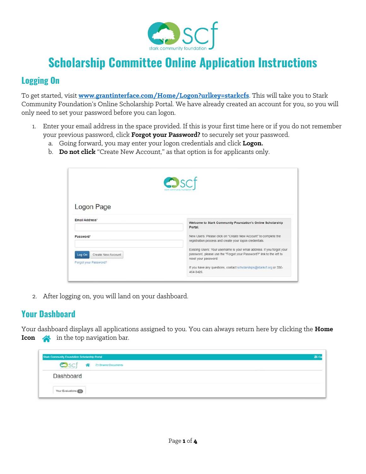

## **Scholarship Committee Online Application Instructions**

## **Logging On**

To get started, visit **[www.grantinterface.com/Home/Logon?urlkey=starkcfs](http://www.grantinterface.com/Home/Logon?urlkey=starkcfs)**. This will take you to Stark Community Foundation's Online Scholarship Portal. We have already created an account for you, so you will only need to set your password before you can logon.

- 1. Enter your email address in the space provided. If this is your first time here or if you do not remember your previous password, click **Forgot your Password?** to securely set your password.
	- a. Going forward, you may enter your logon credentials and click **Logon.**
	- b. **Do not click** "Create New Account," as that option is for applicants only.

|                                                       | $\bullet$ scf<br>stark community found                                                                                                                                  |
|-------------------------------------------------------|-------------------------------------------------------------------------------------------------------------------------------------------------------------------------|
| Logon Page<br>Email Address*                          | Welcome to Stark Community Foundation's Online Scholarship<br>Portal.                                                                                                   |
| Password <sup>*</sup>                                 | New Users: Please click on "Create New Account" to complete the<br>registration process and create your logon credentials.                                              |
| Create New Account<br>Log On<br>Forgot your Password? | Existing Users: Your username is your email address. If you forgot your<br>password, please use the "Forgot your Password?" link to the left to<br>reset your password. |
|                                                       | If you have any questions, contact scholarships@starkcf.org or 330-<br>454-3426                                                                                         |

2. After logging on, you will land on your dashboard.

## **Your Dashboard**

Your dashboard displays all applications assigned to you. You can always return here by clicking the **Home Icon**  $\bigotimes$  in the top navigation bar.

| Stark Community Foundation Scholarship Portal |                           | m. |
|-----------------------------------------------|---------------------------|----|
| $\bullet$ scj                                 | <b>2</b> Shared Documents |    |
| Dashboard                                     |                           |    |
| Your Evaluations                              |                           |    |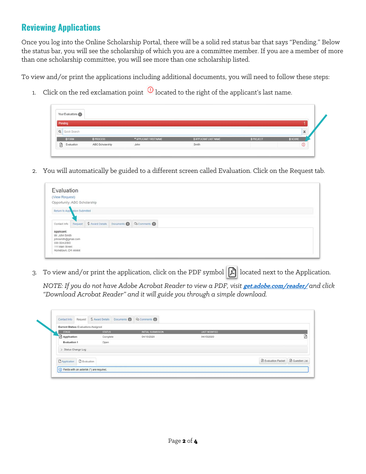## **Reviewing Applications**

Once you log into the Online Scholarship Portal, there will be a solid red status bar that says "Pending." Below the status bar, you will see the scholarship of which you are a committee member. If you are a member of more than one scholarship committee, you will see more than one scholarship listed.

To view and/or print the applications including additional documents, you will need to follow these steps:

1. Click on the red exclamation point  $\overline{0}$  located to the right of the applicant's last name.

|   | Your Evaluations |                 |                      |                              |           |         |   |
|---|------------------|-----------------|----------------------|------------------------------|-----------|---------|---|
|   | Pending          |                 |                      |                              |           |         |   |
|   | Q Quick Search   |                 |                      |                              |           |         | × |
|   | EFORU            | $#$ PROCESS     | APPLICANT FIRST NAME | <b># APPLICANT LAST NAME</b> | # PROJECT | \$SOORE |   |
| 顶 | Evaluation       | ABC Scholarship | John                 | Smith                        |           |         |   |

2. You will automatically be guided to a different screen called Evaluation. Click on the Request tab.



3. To view and/or print the application, click on the PDF symbol  $|\mathcal{A}|$  located next to the Application.

*NOTE: If you do not have Adobe Acrobat Reader to view a PDF, visit* **[get.adobe.com/reader/](https://get.adobe.com/reader/)** *and click "Download Acrobat Reader" and it will guide you through a simple download.*

| <b>Current Status:</b> Evaluations Assigned |               |                    |                      |                                                   |   |
|---------------------------------------------|---------------|--------------------|----------------------|---------------------------------------------------|---|
| <b>STAGE</b>                                | <b>STATUS</b> | INITIAL SUBMISSION | <b>LAST MODIFIED</b> |                                                   |   |
| Application                                 | Complete      | 04/15/2020         | 04/15/2020           |                                                   | Ø |
| Evaluation 1                                | Open          |                    |                      |                                                   |   |
| > Status Change Log                         |               |                    |                      |                                                   |   |
| <b>DApplication</b> D Evaluation            |               |                    |                      | <b>B</b> Evaluation Packet <b>B</b> Question List |   |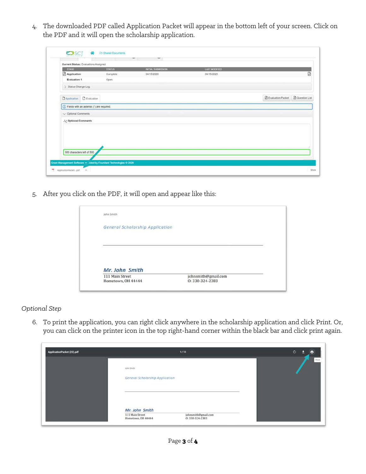4. The downloaded PDF called Application Packet will appear in the bottom left of your screen. Click on the PDF and it will open the scholarship application.

|                            | Current Status: Evaluations Assigned          |               |                    |                      |                            |                        |
|----------------------------|-----------------------------------------------|---------------|--------------------|----------------------|----------------------------|------------------------|
| <b>STAGE</b>               |                                               | <b>STATUS</b> | INITIAL SUBMISSION | <b>LAST MODIFIED</b> |                            |                        |
| Application                |                                               | Complete      | 04/15/2020         | 04/15/2020           |                            | Ø                      |
| Evaluation 1               |                                               | Open          |                    |                      |                            |                        |
| > Status Change Log        |                                               |               |                    |                      |                            |                        |
|                            | D Application D Evaluation                    |               |                    |                      | <b>B</b> Evaluation Packet | <b>B</b> Question List |
|                            | (i) Fields with an asterisk (*) are required. |               |                    |                      |                            |                        |
|                            |                                               |               |                    |                      |                            |                        |
| $\vee$ Optional Comments   |                                               |               |                    |                      |                            |                        |
| .& Optional Comments       |                                               |               |                    |                      |                            |                        |
|                            |                                               |               |                    |                      |                            |                        |
|                            |                                               |               |                    |                      |                            |                        |
|                            |                                               |               |                    |                      |                            |                        |
|                            |                                               |               |                    |                      |                            |                        |
|                            |                                               |               |                    |                      |                            |                        |
| 500 characters left of 500 |                                               |               |                    |                      |                            |                        |

5. After you click on the PDF, it will open and appear like this:

| John Smith                             |                     |  |
|----------------------------------------|---------------------|--|
| <b>General Scholarship Application</b> |                     |  |
|                                        |                     |  |
|                                        |                     |  |
|                                        |                     |  |
|                                        |                     |  |
|                                        |                     |  |
| Mr. John Smith                         |                     |  |
| 111 Main Street                        | johnsmith@gmail.com |  |

*Optional Step*

6. To print the application, you can right click anywhere in the scholarship application and click Print. Or, you can click on the printer icon in the top right-hand corner within the black bar and click print again.

| ApplicationPacket (22).pdf |                                               | 1/13                                  | $\circ$<br>в<br>в |
|----------------------------|-----------------------------------------------|---------------------------------------|-------------------|
|                            | John Smith<br>General Scholarship Application |                                       | Print             |
|                            | Mr. John Smith                                |                                       |                   |
|                            | 111 Main Street<br>Hometown, OH 44444         | johnsmith@gmail.com<br>0:330-324-2383 |                   |